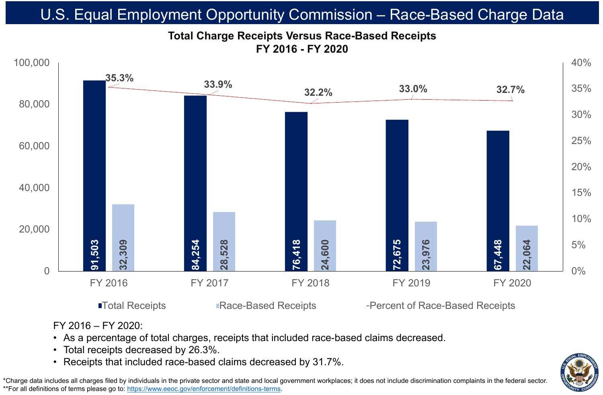# **FY 2016 - FY 2020**



FY 2016 – FY 2020:

• As a percentage of total charges, receipts that included race-based claims decreased.

- 
- Total receipts decreased by 26.3%.
- 





\*Charge data includes all charges filed by individuals in the private sector and state and local government workplaces; it does not include discrimination complaints in the federal sector. \*\*For all definitions of terms please go to:<https://www.eeoc.gov/enforcement/definitions-terms>.



FY 2016 FY 2017 FY 2018 FY 2019 FY 2020

■Total Receipts Bace-Based Receipts Fercent of Race-Based Receipts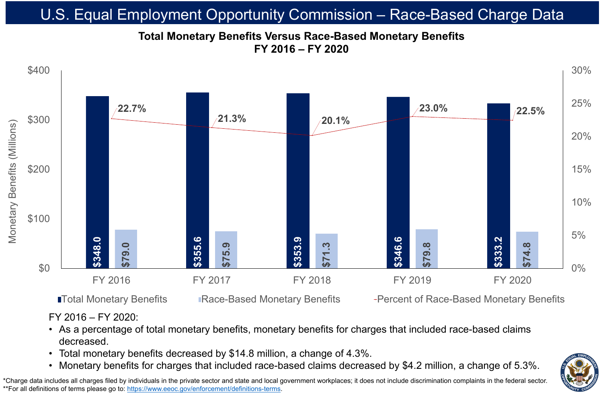FY 2016 – FY 2020:

### • As a percentage of total monetary benefits, monetary benefits for charges that included race-based claims

- decreased.
- 
- 

# • Total monetary benefits decreased by \$14.8 million, a change of 4.3%.



## **Total Monetary Benefits Versus Race-Based Monetary Benefits FY 2016 – FY 2020** U.S. Equal Employment Opportunity Commission – Race-Based Charge Data

\*Charge data includes all charges filed by individuals in the private sector and state and local government workplaces; it does not include discrimination complaints in the federal sector. \*\*For all definitions of terms please go to:<https://www.eeoc.gov/enforcement/definitions-terms>.





FY 2016 FY 2017 FY 2018 FY 2019 FY 2020

■Total Monetary Benefits Bace-Based Monetary Benefits Fercent of Race-Based Monetary Benefits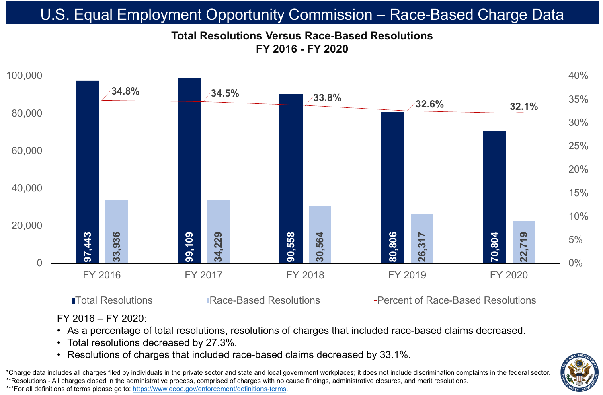

■Total Resolutions ■ Race-Based Resolutions → Percent of Race-Based Resolutions



\*Charge data includes all charges filed by individuals in the private sector and state and local government workplaces; it does not include discrimination complaints in the federal sector. \*\*Resolutions - All charges closed in the administrative process, comprised of charges with no cause findings, administrative closures, and merit resolutions. \*\*\*For all definitions of terms please go to:<https://www.eeoc.gov/enforcement/definitions-terms>.

FY 2016 – FY 2020:

# • As a percentage of total resolutions, resolutions of charges that included race-based claims decreased. • Resolutions of charges that included race-based claims decreased by 33.1%.

- 
- Total resolutions decreased by 27.3%.
- 

# U.S. Equal Employment Opportunity Commission – Race-Based Charge Data

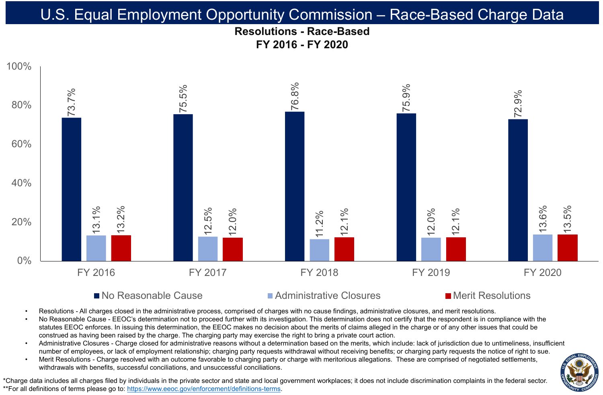### **Resolutions - Race-Based FY 2016 - FY 2020** U.S. Equal Employment Opportunity Commission – Race-Based Charge Data





### ■ No Reasonable Cause Administrative Closures Merit Resolutions

- 
- 
- 
- 

### FY 2016 FY 2017 FY 2018 FY 2019 FY 2020



Resolutions - All charges closed in the administrative process, comprised of charges with no cause findings, administrative closures, and merit resolutions. No Reasonable Cause - EEOC's determination not to proceed further with its investigation. This determination does not certify that the respondent is in compliance with the statutes EEOC enforces. In issuing this determination, the EEOC makes no decision about the merits of claims alleged in the charge or of any other issues that could be construed as having been raised by the charge. The charging party may exercise the right to bring a private court action. Administrative Closures - Charge closed for administrative reasons without a determination based on the merits, which include: lack of jurisdiction due to untimeliness, insufficient number of employees, or lack of employment relationship; charging party requests withdrawal without receiving benefits; or charging party requests the notice of right to sue. Merit Resolutions - Charge resolved with an outcome favorable to charging party or charge with meritorious allegations. These are comprised of negotiated settlements, withdrawals with benefits, successful conciliations, and unsuccessful conciliations.

\*Charge data includes all charges filed by individuals in the private sector and state and local government workplaces; it does not include discrimination complaints in the federal sector. \*\*For all definitions of terms please go to:<https://www.eeoc.gov/enforcement/definitions-terms>.